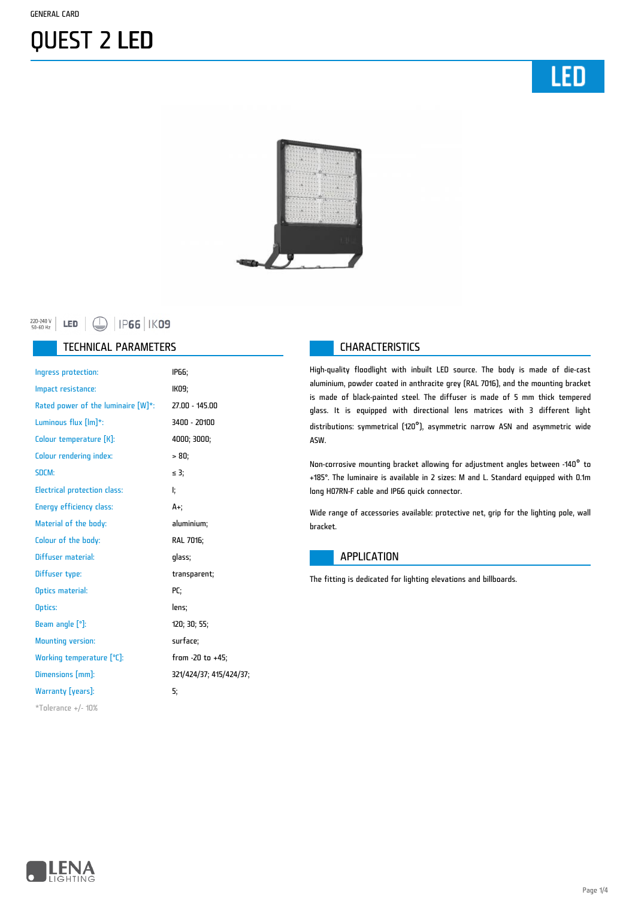LED



#### LED  $\bigoplus$  | IP66 | IK09 220-240 V<br>50-60 Hz

#### TECHNICAL PARAMETERS **CHARACTERISTICS**

| Ingress protection:                 | IP66;                   |
|-------------------------------------|-------------------------|
| Impact resistance:                  | IK09;                   |
| Rated power of the luminaire [W]*:  | 27.00 - 145.00          |
| Luminous flux [lm]*:                | 3400 - 20100            |
| Colour temperature [K]:             | 4000; 3000;             |
| <b>Colour rendering index:</b>      | $> 80$ ;                |
| SDCM:                               | $\leq$ 3;               |
| <b>Electrical protection class:</b> | ŀ.                      |
| <b>Energy efficiency class:</b>     | A+.                     |
| Material of the body:               | aluminium;              |
| Colour of the body:                 | RAL 7016;               |
| Diffuser material:                  | qlass;                  |
| Diffuser type:                      | transparent;            |
| Optics material:                    | PC:                     |
| Optics:                             | lens;                   |
| Beam angle $[°]$ :                  | 120; 30; 55;            |
| <b>Mounting version:</b>            | surface;                |
| Working temperature [°C]:           | from -20 to +45;        |
| Dimensions [mm]:                    | 321/424/37; 415/424/37; |
| Warranty [years]:                   | 5.                      |
| $*$ Tolerance +/- 10%               |                         |

High-quality floodlight with inbuilt LED source. The body is made of die-cast aluminium, powder coated in anthracite grey (RAL 7016), and the mounting bracket is made of black-painted steel. The diffuser is made of 5 mm thick tempered glass. It is equipped with directional lens matrices with 3 different light distributions: symmetrical (120°), asymmetric narrow ASN and asymmetric wide ASW.

Non-corrosive mounting bracket allowing for adjustment angles between -140° to +185°. The luminaire is available in 2 sizes: M and L. Standard equipped with 0.1m long H07RN-F cable and IP66 quick connector.

Wide range of accessories available: protective net, grip for the lighting pole, wall bracket.

#### **APPLICATION**

The fitting is dedicated for lighting elevations and billboards.

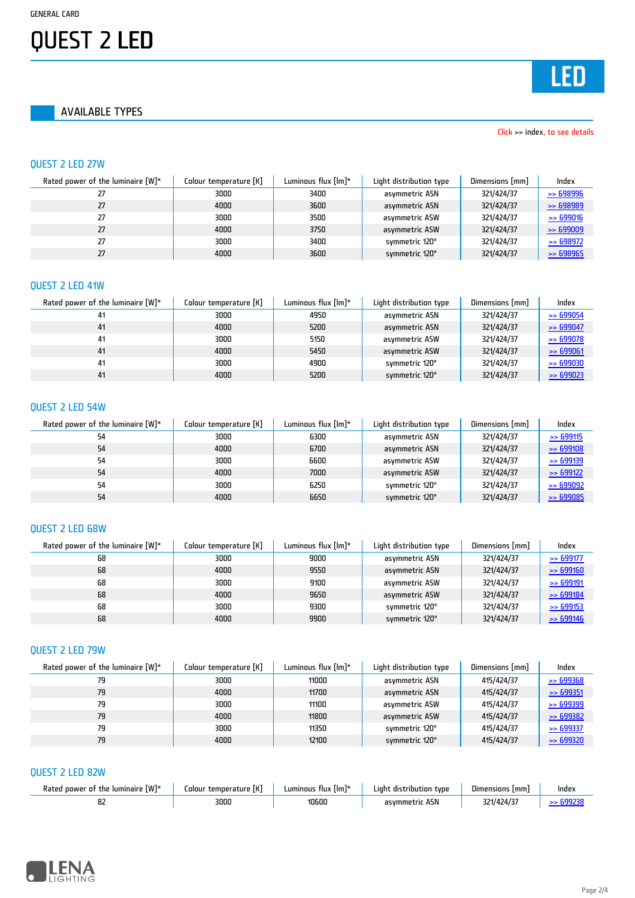AVAILABLE TYPES

#### Click >> index, to see details

#### QUEST 2 LED 27W

| Rated power of the luminaire $[W]^*$ | Colour temperature [K] | Luminous flux $[Im]^*$ | Light distribution type | Dimensions [mm] | Index                |
|--------------------------------------|------------------------|------------------------|-------------------------|-----------------|----------------------|
|                                      | 3000                   | 3400                   | asymmetric ASN          | 321/424/37      | $\ge$ 698996         |
|                                      | 4000                   | 3600                   | asymmetric ASN          | 321/424/37      | $\geq$ 698989        |
| 27                                   | 3000                   | 3500                   | asymmetric ASW          | 321/424/37      | > 699016             |
| 27                                   | 4000                   | 3750                   | asymmetric ASW          | 321/424/37      | $\geq$ 699009        |
|                                      | 3000                   | 3400                   | symmetric 120°          | 321/424/37      | $\Rightarrow$ 698972 |
| 27                                   | 4000                   | 3600                   | symmetric 120°          | 321/424/37      | $\ge$ 698965         |

#### QUEST 2 LED 41W

| Rated power of the luminaire $[W]^*$ | Colour temperature [K] | Luminous flux $[Im]$ * | Light distribution type | Dimensions [mm] | Index                |
|--------------------------------------|------------------------|------------------------|-------------------------|-----------------|----------------------|
| 41                                   | 3000                   | 4950                   | asymmetric ASN          | 321/424/37      | $\ge$ 699054         |
| 41                                   | 4000                   | 5200                   | asymmetric ASN          | 321/424/37      | $\ge$ 699047         |
| 41                                   | 3000                   | 5150                   | asymmetric ASW          | 321/424/37      | $\ge$ 699078         |
| 41                                   | 4000                   | 5450                   | asymmetric ASW          | 321/424/37      | $\ge$ 699061         |
| 41                                   | 3000                   | 4900                   | symmetric 120°          | 321/424/37      | $\rightarrow$ 699030 |
| 41                                   | 4000                   | 5200                   | symmetric 120°          | 321/424/37      | $\rightarrow$ 699023 |

#### QUEST 2 LED 54W

| Rated power of the luminaire $[W]^*$ | Colour temperature [K] | Luminous flux $[Im]$ * | Light distribution type | Dimensions [mm] | Index                |
|--------------------------------------|------------------------|------------------------|-------------------------|-----------------|----------------------|
| 54                                   | 3000                   | 6300                   | asvmmetric ASN          | 321/424/37      | $\ge$ 699115         |
| 54                                   | 4000                   | 6700                   | asymmetric ASN          | 321/424/37      | >599108              |
| 54                                   | 3000                   | 6600                   | asymmetric ASW          | 321/424/37      | $\ge 699139$         |
| 54                                   | 4000                   | 7000                   | asymmetric ASW          | 321/424/37      | $\Rightarrow$ 699122 |
| 54                                   | 3000                   | 6250                   | symmetric 120°          | 321/424/37      | $\rightarrow$ 699092 |
| 54                                   | 4000                   | 6650                   | symmetric 120°          | 321/424/37      | $\ge$ 699085         |

#### QUEST 2 LED 68W

| Rated power of the luminaire $[W]^*$ | Colour temperature [K] | Luminous flux [lm]* | Light distribution type | Dimensions [mm] | Index        |
|--------------------------------------|------------------------|---------------------|-------------------------|-----------------|--------------|
| 68                                   | 3000                   | 9000                | asymmetric ASN          | 321/424/37      | $\ge$ 699177 |
| 68                                   | 4000                   | 9550                | asymmetric ASN          | 321/424/37      | $\ge 699160$ |
| 68                                   | 3000                   | 9100                | asymmetric ASW          | 321/424/37      | $\ge$ 699191 |
| 68                                   | 4000                   | 9650                | asymmetric ASW          | 321/424/37      | $\ge 699184$ |
| 68                                   | 3000                   | 9300                | symmetric 120°          | 321/424/37      | $\ge$ 699153 |
| 68                                   | 4000                   | 9900                | symmetric 120°          | 321/424/37      | $\ge 699146$ |

### QUEST 2 LED 79W

| Rated power of the luminaire $[W]^*$ | Colour temperature [K] | Luminous flux [lm]* | Light distribution type | Dimensions [mm] | Index                |
|--------------------------------------|------------------------|---------------------|-------------------------|-----------------|----------------------|
| 79                                   | 3000                   | 11000               | asymmetric ASN          | 415/424/37      | $\geq$ 699368        |
| 79                                   | 4000                   | 11700               | asymmetric ASN          | 415/424/37      | $\rightarrow$ 699351 |
| 79                                   | 3000                   | 11100               | asymmetric ASW          | 415/424/37      | $\rightarrow$ 699399 |
| 79                                   | 4000                   | 11800               | asymmetric ASW          | 415/424/37      | $\ge 699382$         |
| 79                                   | 3000                   | 11350               | symmetric 120°          | 415/424/37      | $\rightarrow$ 699337 |
| 79                                   | 4000                   | 12100               | symmetric 120°          | 415/424/37      | $\rightarrow$ 699320 |

#### QUEST 2 LED 82W

| [W]*<br>lumınaırı<br>Kated<br>oower<br>the<br>пт | ſК.<br>∟olour<br>temperature : | limi"<br>umınous<br>TIUX. | ∟ıaht<br>tvne<br>ubution | --<br>lmm)<br>Uimensions | Index |
|--------------------------------------------------|--------------------------------|---------------------------|--------------------------|--------------------------|-------|
|                                                  | 3000                           | 10600                     | $-$<br>45N<br>asvmmetrir |                          |       |

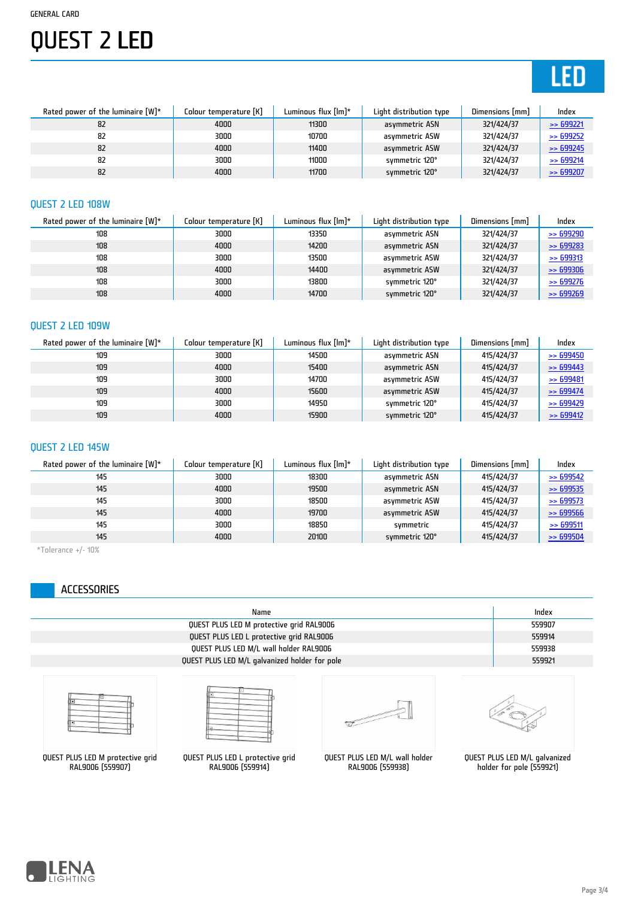# **LED**

| Rated power of the luminaire $[W]^*$ | Colour temperature [K] | Luminous flux [lm]* | Light distribution type | Dimensions [mm] | Index                |
|--------------------------------------|------------------------|---------------------|-------------------------|-----------------|----------------------|
| 82                                   | 4000                   | 11300               | asymmetric ASN          | 321/424/37      | $\ge$ 699221         |
| 82                                   | 3000                   | 10700               | asymmetric ASW          | 321/424/37      | $\Rightarrow$ 699252 |
| 82                                   | 4000                   | 11400               | asymmetric ASW          | 321/424/37      | $\Rightarrow$ 699245 |
| 82                                   | 3000                   | 11000               | symmetric 120°          | 321/424/37      | $\ge$ 699214         |
| 82                                   | 4000                   | 11700               | symmetric 120°          | 321/424/37      | $\Rightarrow$ 699207 |

#### QUEST 2 LED 108W

| Rated power of the luminaire $[W]^*$ | Colour temperature [K] | Luminous flux $[Im]$ * | Light distribution type | Dimensions [mm] | Index                |
|--------------------------------------|------------------------|------------------------|-------------------------|-----------------|----------------------|
| 108                                  | 3000                   | 13350                  | asymmetric ASN          | 321/424/37      | $\rightarrow$ 699290 |
| 108                                  | 4000                   | 14200                  | asymmetric ASN          | 321/424/37      | $\Rightarrow 699283$ |
| 108                                  | 3000                   | 13500                  | asymmetric ASW          | 321/424/37      | > 699313             |
| 108                                  | 4000                   | 14400                  | asymmetric ASW          | 321/424/37      | $\ge 699306$         |
| 108                                  | 3000                   | 13800                  | symmetric 120°          | 321/424/37      | $\ge$ 699276         |
| 108                                  | 4000                   | 14700                  | symmetric 120°          | 321/424/37      | $\rightarrow$ 699269 |

### QUEST 2 LED 109W

| Rated power of the luminaire $[W]^*$ | Colour temperature [K] | Luminous flux $[Im]^*$ | Light distribution type | Dimensions [mm] | Index                |
|--------------------------------------|------------------------|------------------------|-------------------------|-----------------|----------------------|
| 109                                  | 3000                   | 14500                  | asvmmetric ASN          | 415/424/37      | $\ge$ 699450         |
| 109                                  | 4000                   | 15400                  | asymmetric ASN          | 415/424/37      | $\Rightarrow 699443$ |
| 109                                  | 3000                   | 14700                  | asymmetric ASW          | 415/424/37      | $\ge$ 699481         |
| 109                                  | 4000                   | 15600                  | asymmetric ASW          | 415/424/37      | $\ge$ 699474         |
| 109                                  | 3000                   | 14950                  | symmetric 120°          | 415/424/37      | $\Rightarrow$ 699429 |
| 109                                  | 4000                   | 15900                  | symmetric 120°          | 415/424/37      | $\Rightarrow$ 699412 |

### QUEST 2 LED 145W

| Rated power of the luminaire $[W]^*$ | Colour temperature [K] | Luminous flux $[Im]^*$ | Light distribution type | Dimensions [mm] | Index                |
|--------------------------------------|------------------------|------------------------|-------------------------|-----------------|----------------------|
| 145                                  | 3000                   | 18300                  | asymmetric ASN          | 415/424/37      | $\Rightarrow$ 699542 |
| 145                                  | 4000                   | 19500                  | asymmetric ASN          | 415/424/37      | $\rightarrow$ 699535 |
| 145                                  | 3000                   | 18500                  | asymmetric ASW          | 415/424/37      | $\rightarrow$ 699573 |
| 145                                  | 4000                   | 19700                  | asymmetric ASW          | 415/424/37      | $\rightarrow$ 699566 |
| 145                                  | 3000                   | 18850                  | symmetric               | 415/424/37      | $\ge$ 699511         |
| 145                                  | 4000                   | 20100                  | symmetric 120°          | 415/424/37      | $\ge$ 699504         |

 $*$ Tolerance +/- 10%

### ACCESSORIES

| Name                                          | Index  |
|-----------------------------------------------|--------|
| QUEST PLUS LED M protective grid RAL9006      | 559907 |
| QUEST PLUS LED L protective grid RAL9006      | 559914 |
| QUEST PLUS LED M/L wall holder RAL9006        | 559938 |
| QUEST PLUS LED M/L galvanized holder for pole | 559921 |
|                                               |        |

QUEST PLUS LED M protective grid RAL9006 (559907)



QUEST PLUS LED L protective grid RAL9006 (559914)



QUEST PLUS LED M/L wall holder RAL9006 (559938)



QUEST PLUS LED M/L galvanized holder for pole (559921)